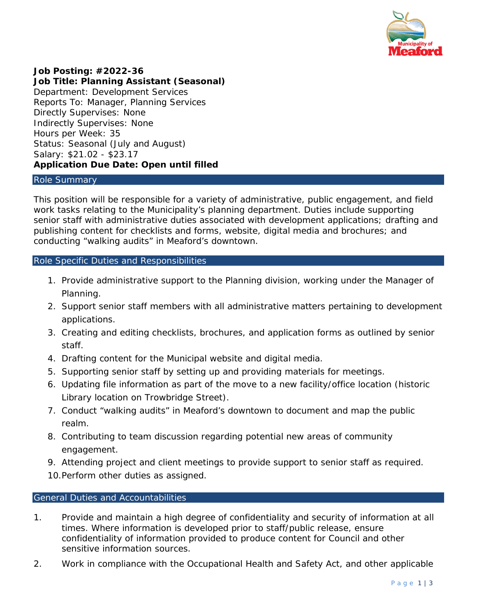

# **Job Posting: #2022-36**

**Job Title: Planning Assistant (Seasonal)** Department: Development Services Reports To: Manager, Planning Services Directly Supervises: None Indirectly Supervises: None Hours per Week: 35 Status: Seasonal (July and August) Salary: \$21.02 - \$23.17 **Application Due Date: Open until filled**

#### Role Summary

This position will be responsible for a variety of administrative, public engagement, and field work tasks relating to the Municipality's planning department. Duties include supporting senior staff with administrative duties associated with development applications; drafting and publishing content for checklists and forms, website, digital media and brochures; and conducting "walking audits" in Meaford's downtown.

### Role Specific Duties and Responsibilities

- 1. Provide administrative support to the Planning division, working under the Manager of Planning.
- 2. Support senior staff members with all administrative matters pertaining to development applications.
- 3. Creating and editing checklists, brochures, and application forms as outlined by senior staff.
- 4. Drafting content for the Municipal website and digital media.
- 5. Supporting senior staff by setting up and providing materials for meetings.
- 6. Updating file information as part of the move to a new facility/office location (historic Library location on Trowbridge Street).
- 7. Conduct "walking audits" in Meaford's downtown to document and map the public realm.
- 8. Contributing to team discussion regarding potential new areas of community engagement.
- 9. Attending project and client meetings to provide support to senior staff as required.
- 10.Perform other duties as assigned.

### General Duties and Accountabilities

- 1. Provide and maintain a high degree of confidentiality and security of information at all times. Where information is developed prior to staff/public release, ensure confidentiality of information provided to produce content for Council and other sensitive information sources.
- 2. Work in compliance with the *Occupational Health and Safety Act*, and other applicable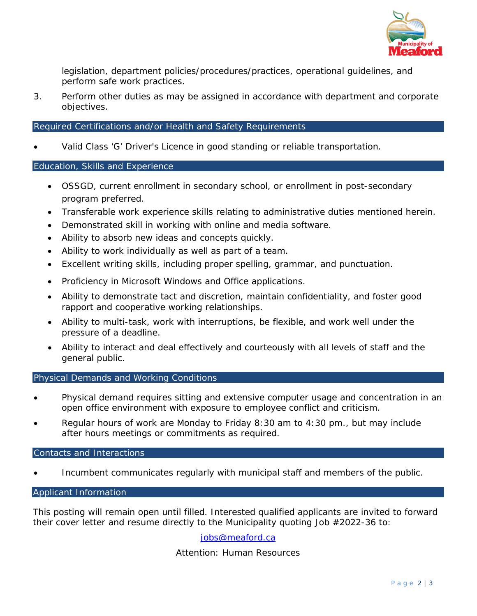

legislation, department policies/procedures/practices, operational guidelines, and perform safe work practices.

3. Perform other duties as may be assigned in accordance with department and corporate objectives.

### Required Certifications and/or Health and Safety Requirements

• Valid Class 'G' Driver's Licence in good standing or reliable transportation.

### Education, Skills and Experience

- OSSGD, current enrollment in secondary school, or enrollment in post-secondary program preferred.
- Transferable work experience skills relating to administrative duties mentioned herein.
- Demonstrated skill in working with online and media software.
- Ability to absorb new ideas and concepts quickly.
- Ability to work individually as well as part of a team.
- Excellent writing skills, including proper spelling, grammar, and punctuation.
- Proficiency in Microsoft Windows and Office applications.
- Ability to demonstrate tact and discretion, maintain confidentiality, and foster good rapport and cooperative working relationships.
- Ability to multi-task, work with interruptions, be flexible, and work well under the pressure of a deadline.
- Ability to interact and deal effectively and courteously with all levels of staff and the general public.

### Physical Demands and Working Conditions

- Physical demand requires sitting and extensive computer usage and concentration in an open office environment with exposure to employee conflict and criticism.
- Regular hours of work are Monday to Friday 8:30 am to 4:30 pm., but may include after hours meetings or commitments as required.

### Contacts and Interactions

• Incumbent communicates regularly with municipal staff and members of the public.

### Applicant Information

This posting will remain open until filled. Interested qualified applicants are invited to forward their cover letter and resume directly to the Municipality quoting Job #2022-36 to:

### [jobs@meaford.ca](mailto:jobs@meaford.ca)

## Attention: Human Resources